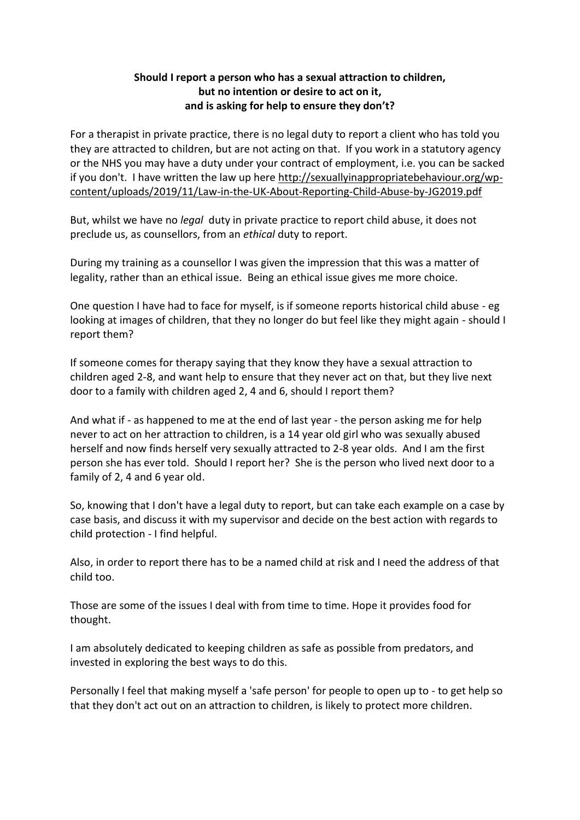## **Should I report a person who has a sexual attraction to children, but no intention or desire to act on it, and is asking for help to ensure they don't?**

For a therapist in private practice, there is no legal duty to report a client who has told you they are attracted to children, but are not acting on that. If you work in a statutory agency or the NHS you may have a duty under your contract of employment, i.e. you can be sacked if you don't. I have written the law up here [http://sexuallyinappropriatebehaviour.org/wp](http://sexuallyinappropriatebehaviour.org/wp-content/uploads/2019/11/Law-in-the-UK-About-Reporting-Child-Abuse-by-JG2019.pdf)[content/uploads/2019/11/Law-in-the-UK-About-Reporting-Child-Abuse-by-JG2019.pdf](http://sexuallyinappropriatebehaviour.org/wp-content/uploads/2019/11/Law-in-the-UK-About-Reporting-Child-Abuse-by-JG2019.pdf)

But, whilst we have no *legal* duty in private practice to report child abuse, it does not preclude us, as counsellors, from an *ethical* duty to report.

During my training as a counsellor I was given the impression that this was a matter of legality, rather than an ethical issue. Being an ethical issue gives me more choice.

One question I have had to face for myself, is if someone reports historical child abuse - eg looking at images of children, that they no longer do but feel like they might again - should I report them?

If someone comes for therapy saying that they know they have a sexual attraction to children aged 2-8, and want help to ensure that they never act on that, but they live next door to a family with children aged 2, 4 and 6, should I report them?

And what if - as happened to me at the end of last year - the person asking me for help never to act on her attraction to children, is a 14 year old girl who was sexually abused herself and now finds herself very sexually attracted to 2-8 year olds. And I am the first person she has ever told. Should I report her? She is the person who lived next door to a family of 2, 4 and 6 year old.

So, knowing that I don't have a legal duty to report, but can take each example on a case by case basis, and discuss it with my supervisor and decide on the best action with regards to child protection - I find helpful.

Also, in order to report there has to be a named child at risk and I need the address of that child too.

Those are some of the issues I deal with from time to time. Hope it provides food for thought.

I am absolutely dedicated to keeping children as safe as possible from predators, and invested in exploring the best ways to do this.

Personally I feel that making myself a 'safe person' for people to open up to - to get help so that they don't act out on an attraction to children, is likely to protect more children.